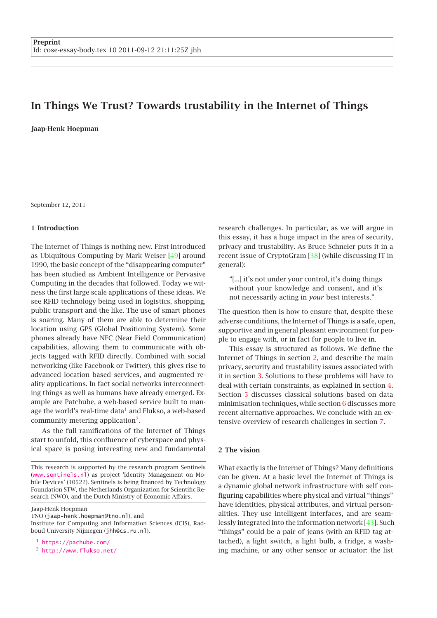# In Things We Trust? Towards trustability in the Internet of Things

Jaap-Henk Hoepman

September 12, 2011

## 1 Introduction

The Internet of Things is nothing new. First introduced as Ubiquitous Computing by Mark Weiser [\[49\]](#page-8-0) around 1990, the basic concept of the "disappearing computer" has been studied as Ambient Intelligence or Pervasive Computing in the decades that followed. Today we witness the first large scale applications of these ideas. We see RFID technology being used in logistics, shopping, public transport and the like. The use of smart phones is soaring. Many of them are able to determine their location using GPS (Global Positioning System). Some phones already have NFC (Near Field Communication) capabilities, allowing them to communicate with objects tagged with RFID directly. Combined with social networking (like Facebook or Twitter), this gives rise to advanced location based services, and augmented reality applications. In fact social networks interconnecting things as well as humans have already emerged. Example are Patchube, a web-based service built to man-age the world's real-time data<sup>[1](#page-0-0)</sup> and Flukso, a web-based community metering application<sup>[2](#page-0-1)</sup>.

As the full ramifications of the Internet of Things start to unfold, this confluence of cyberspace and physical space is posing interesting new and fundamental

Jaap-Henk Hoepman

TNO (jaap-henk.hoepman@tno.nl), and

<span id="page-0-1"></span><span id="page-0-0"></span><sup>2</sup> <http://www.flukso.net/>

research challenges. In particular, as we will argue in this essay, it has a huge impact in the area of security, privacy and trustability. As Bruce Schneier puts it in a recent issue of CryptoGram [\[38\]](#page-7-0) (while discussing IT in general):

"[...] it's not under your control, it's doing things without your knowledge and consent, and it's not necessarily acting in *your* best interests."

The question then is how to ensure that, despite these adverse conditions, the Internet of Things is a safe, open, supportive and in general pleasant environment for people to engage with, or in fact for people to live in.

This essay is structured as follows. We define the Internet of Things in section [2,](#page-0-2) and describe the main privacy, security and trustability issues associated with it in section [3.](#page-1-0) Solutions to these problems will have to deal with certain constraints, as explained in section [4.](#page-3-0) Section [5](#page-3-1) discusses classical solutions based on data minimisation techniques, while section [6](#page-3-2) discusses more recent alternative approaches. We conclude with an extensive overview of research challenges in section [7.](#page-4-0)

## <span id="page-0-2"></span>2 The vision

What exactly is the Internet of Things? Many definitions can be given. At a basic level the Internet of Things is a dynamic global network infrastructure with self configuring capabilities where physical and virtual "things" have identities, physical attributes, and virtual personalities. They use intelligent interfaces, and are seamlessly integrated into the information network [\[43\]](#page-8-1). Such "things" could be a pair of jeans (with an RFID tag attached), a light switch, a light bulb, a fridge, a washing machine, or any other sensor or actuator: the list

This research is supported by the research program Sentinels (<www.sentinels.nl>) as project 'Identity Management on Mobile Devices' (10522). Sentinels is being financed by Technology Foundation STW, the Netherlands Organization for Scientific Research (NWO), and the Dutch Ministry of Economic Affairs.

Institute for Computing and Information Sciences (ICIS), Radboud University Nijmegen (jhh@cs.ru.nl).

<sup>1</sup> <https://pachube.com/>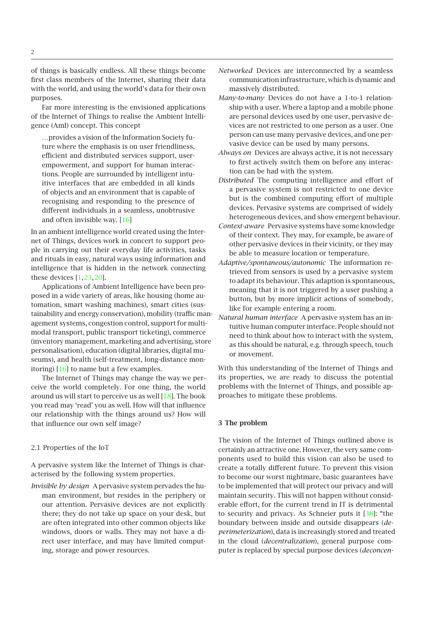of things is basically endless. All these things become first class members of the Internet, sharing their data with the world, and using the world's data for their own purposes.

Far more interesting is the envisioned applications of the Internet of Things to realise the Ambient Intelligence (AmI) concept. This concept

…provides a vision of the Information Society future where the emphasis is on user friendliness, efficient and distributed services support, userempowerment, and support for human interactions. People are surrounded by intelligent intuitive interfaces that are embedded in all kinds of objects and an environment that is capable of recognising and responding to the presence of different individuals in a seamless, unobtrusive and often invisible way. [\[16\]](#page-7-1)

In an ambient intelligence world created using the Internet of Things, devices work in concert to support people in carrying out their everyday life activities, tasks and rituals in easy, natural ways using information and intelligence that is hidden in the network connecting these devices [\[1,](#page-7-2)[23,](#page-7-3)[20\]](#page-7-4).

Applications of Ambient Intelligence have been proposed in a wide variety of areas, like housing (home automation, smart washing machines), smart cities (sustainability and energy conservation), mobility (traffic management systems, congestion control, support for multimodal transport, public transport ticketing), commerce (inventory management, marketing and advertising, store personalisation), education (digital libraries, digital museums), and health (self-treatment, long-distance monitoring) [\[16\]](#page-7-1) to name but a few examples.

The Internet of Things may change the way we perceive the world completely. For one thing, the world around us will start to perceive us as well [\[18\]](#page-7-5). The book you read may 'read' you as well. How will that influence our relationship with the things around us? How will that influence our own self image?

<span id="page-1-1"></span>2.1 Properties of the IoT

A pervasive system like the Internet of Things is characterised by the following system properties.

*Invisible by design* A pervasive system pervades the human environment, but resides in the periphery or our attention. Pervasive devices are not explicitly there; they do not take up space on your desk, but are often integrated into other common objects like windows, doors or walls. They may not have a direct user interface, and may have limited computing, storage and power resources.

- *Networked* Devices are interconnected by a seamless communication infrastructure, which is dynamic and massively distributed.
- *Many-to-many* Devices do not have a 1-to-1 relationship with a user. Where a laptop and a mobile phone are personal devices used by one user, pervasive devices are not restricted to one person as a user. One person can use many pervasive devices, and one pervasive device can be used by many persons.
- *Always on* Devices are always active, it is not necessary to first actively switch them on before any interaction can be had with the system.
- *Distributed* The computing intelligence and effort of a pervasive system is not restricted to one device but is the combined computing effort of multiple devices. Pervasive systems are comprised of widely heterogeneous devices, and show emergent behaviour.
- *Context-aware* Pervasive systems have some knowledge of their context. They may, for example, be aware of other pervasive devices in their vicinity, or they may be able to measure location or temperature.
- *Adaptive/spontaneous/autonomic* The information retrieved from sensors is used by a pervasive system to adapt its behaviour. This adaption is spontaneous, meaning that it is not triggered by a user pushing a button, but by more implicit actions of somebody, like for example entering a room.
- *Natural human interface* A pervasive system has an intuitive human computer interface. People should not need to think about how to interact with the system, as this should be natural, e.g. through speech, touch or movement.

With this understanding of the Internet of Things and its properties, we are ready to discuss the potential problems with the Internet of Things, and possible approaches to mitigate these problems.

## <span id="page-1-0"></span>3 The problem

The vision of the Internet of Things outlined above is certainly an attractive one. However, the very same components used to build this vision can also be used to create a totally different future. To prevent this vision to become our worst nightmare, basic guarantees have to be implemented that will protect our privacy and will maintain security. This will not happen without considerable effort, for the current trend in IT is detrimental to security and privacy. As Schneier puts it [\[38\]](#page-7-0): "the boundary between inside and outside disappears (*deperimeterization*), data is increasingly stored and treated in the cloud (*decentralization*), general purpose computer is replaced by special purpose devices (*deconcen-*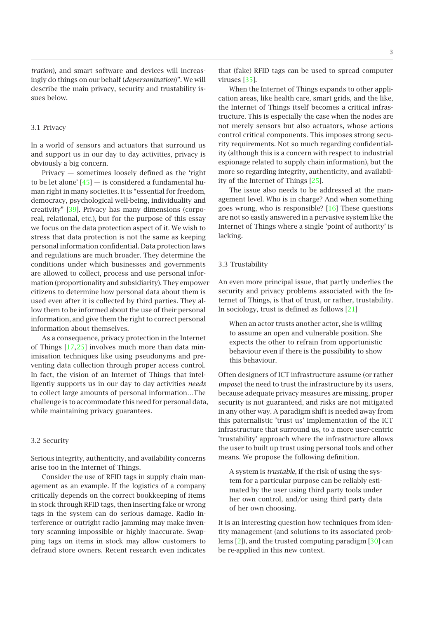*tration*), and smart software and devices will increasingly do things on our behalf (*depersonization*)". We will describe the main privacy, security and trustability issues below.

### 3.1 Privacy

In a world of sensors and actuators that surround us and support us in our day to day activities, privacy is obviously a big concern.

Privacy — sometimes loosely defined as the 'right to be let alone'  $[45]$  — is considered a fundamental human right in many societies. It is "essential for freedom, democracy, psychological well-being, individuality and creativity" [\[39\]](#page-7-6). Privacy has many dimensions (corporeal, relational, etc.), but for the purpose of this essay we focus on the data protection aspect of it. We wish to stress that data protection is not the same as keeping personal information confidential. Data protection laws and regulations are much broader. They determine the conditions under which businesses and governments are allowed to collect, process and use personal information (proportionality and subsidiarity). They empower citizens to determine how personal data about them is used even after it is collected by third parties. They allow them to be informed about the use of their personal information, and give them the right to correct personal information about themselves.

As a consequence, privacy protection in the Internet of Things [\[17,](#page-7-7)[25\]](#page-7-8) involves much more than data minimisation techniques like using pseudonyms and preventing data collection through proper access control. In fact, the vision of an Internet of Things that intelligently supports us in our day to day activities *needs* to collect large amounts of personal information…The challenge is to accommodate this need for personal data, while maintaining privacy guarantees.

## 3.2 Security

Serious integrity, authenticity, and availability concerns arise too in the Internet of Things.

Consider the use of RFID tags in supply chain management as an example. If the logistics of a company critically depends on the correct bookkeeping of items in stock through RFID tags, then inserting fake or wrong tags in the system can do serious damage. Radio interference or outright radio jamming may make inventory scanning impossible or highly inaccurate. Swapping tags on items in stock may allow customers to defraud store owners. Recent research even indicates

that (fake) RFID tags can be used to spread computer viruses [\[35\]](#page-7-9).

When the Internet of Things expands to other application areas, like health care, smart grids, and the like, the Internet of Things itself becomes a critical infrastructure. This is especially the case when the nodes are not merely sensors but also actuators, whose actions control critical components. This imposes strong security requirements. Not so much regarding confidentiality (although this is a concern with respect to industrial espionage related to supply chain information), but the more so regarding integrity, authenticity, and availability of the Internet of Things [\[25\]](#page-7-8).

The issue also needs to be addressed at the management level. Who is in charge? And when something goes wrong, who is responsible? [\[16\]](#page-7-1) These questions are not so easily answered in a pervasive system like the Internet of Things where a single 'point of authority' is lacking.

#### 3.3 Trustability

An even more principal issue, that partly underlies the security and privacy problems associated with the Internet of Things, is that of trust, or rather, trustability. In sociology, trust is defined as follows [\[21\]](#page-7-10)

When an actor trusts another actor, she is willing to assume an open and vulnerable position. She expects the other to refrain from opportunistic behaviour even if there is the possibility to show this behaviour.

Often designers of ICT infrastructure assume (or rather *impose*) the need to trust the infrastructure by its users, because adequate privacy measures are missing, proper security is not guaranteed, and risks are not mitigated in any other way. A paradigm shift is needed away from this paternalistic 'trust us' implementation of the ICT infrastructure that surround us, to a more user-centric 'trustability' approach where the infrastructure allows the user to built up trust using personal tools and other means. We propose the following definition.

A system is *trustable*, if the risk of using the system for a particular purpose can be reliably estimated by the user using third party tools under her own control, and/or using third party data of her own choosing.

It is an interesting question how techniques from identity management (and solutions to its associated problems [\[2\]](#page-7-11)), and the trusted computing paradigm [\[30\]](#page-7-12) can be re-applied in this new context.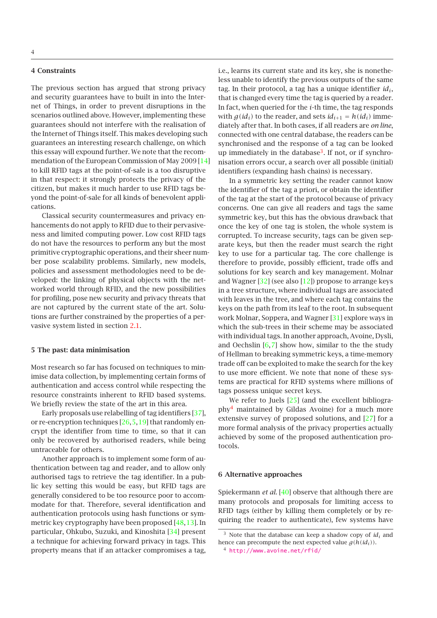#### <span id="page-3-0"></span>4 Constraints

The previous section has argued that strong privacy and security guarantees have to built in into the Internet of Things, in order to prevent disruptions in the scenarios outlined above. However, implementing these guarantees should not interfere with the realisation of the Internet of Things itself. This makes developing such guarantees an interesting research challenge, on which this essay will expound further. We note that the recommendation of the European Commission of May 2009 [\[14\]](#page-7-13) to kill RFID tags at the point-of-sale is a too disruptive in that respect: it strongly protects the privacy of the citizen, but makes it much harder to use RFID tags beyond the point-of-sale for all kinds of benevolent applications.

Classical security countermeasures and privacy enhancements do not apply to RFID due to their pervasiveness and limited computing power. Low cost RFID tags do not have the resources to perform any but the most primitive cryptographic operations, and their sheer number pose scalability problems. Similarly, new models, policies and assessment methodologies need to be developed: the linking of physical objects with the networked world through RFID, and the new possibilities for profiling, pose new security and privacy threats that are not captured by the current state of the art. Solutions are further constrained by the properties of a pervasive system listed in section [2.1.](#page-1-1)

#### <span id="page-3-1"></span>5 The past: data minimisation

Most research so far has focused on techniques to minimise data collection, by implementing certain forms of authentication and access control while respecting the resource constraints inherent to RFID based systems. We briefly review the state of the art in this area.

Early proposals use relabelling of tag identifiers [\[37\]](#page-7-14), or re-encryption techniques [\[26,](#page-7-15)[5,](#page-7-16)[19\]](#page-7-17) that randomly encrypt the identifier from time to time, so that it can only be recovered by authorised readers, while being untraceable for others.

Another approach is to implement some form of authentication between tag and reader, and to allow only authorised tags to retrieve the tag identifier. In a public key setting this would be easy, but RFID tags are generally considered to be too resource poor to accommodate for that. Therefore, several identification and authentication protocols using hash functions or symmetric key cryptography have been proposed [\[48,](#page-8-3)[13\]](#page-7-18). In particular, Ohkubo, Suzuki, and Kinoshita [\[34\]](#page-7-19) present a technique for achieving forward privacy in tags. This property means that if an attacker compromises a tag, i.e., learns its current state and its key, she is nonetheless unable to identify the previous outputs of the same tag. In their protocol, a tag has a unique identifier *idi*, that is changed every time the tag is queried by a reader. In fact, when queried for the *i*-th time, the tag responds with  $g(id_i)$  to the reader, and sets  $id_{i+1} = h(id_i)$  immediately after that. In both cases, if all readers are *on line*, connected with one central database, the readers can be synchronised and the response of a tag can be looked up immediately in the database<sup>[3](#page-3-3)</sup>. If not, or if synchronisation errors occur, a search over all possible (initial) identifiers (expanding hash chains) is necessary.

In a symmetric key setting the reader cannot know the identifier of the tag a priori, or obtain the identifier of the tag at the start of the protocol because of privacy concerns. One can give all readers and tags the same symmetric key, but this has the obvious drawback that once the key of one tag is stolen, the whole system is corrupted. To increase security, tags can be given separate keys, but then the reader must search the right key to use for a particular tag. The core challenge is therefore to provide, possibly efficient, trade offs and solutions for key search and key management. Molnar and Wagner  $[32]$  (see also  $[12]$ ) propose to arrange keys in a tree structure, where individual tags are associated with leaves in the tree, and where each tag contains the keys on the path from its leaf to the root. In subsequent work Molnar, Soppera, and Wagner [\[31\]](#page-7-22) explore ways in which the sub-trees in their scheme may be associated with individual tags. In another approach, Avoine, Dysli, and Oechslin  $[6,7]$  $[6,7]$  show how, similar to the the study of Hellman to breaking symmetric keys, a time-memory trade off can be exploited to make the search for the key to use more efficient. We note that none of these systems are practical for RFID systems where millions of tags possess unique secret keys.

We refer to Juels [\[25\]](#page-7-8) (and the excellent bibliography[4](#page-3-4) maintained by Gildas Avoine) for a much more extensive survey of proposed solutions, and [\[27\]](#page-7-25) for a more formal analysis of the privacy properties actually achieved by some of the proposed authentication protocols.

#### <span id="page-3-2"></span>6 Alternative approaches

Spiekermann *et al.* [\[40\]](#page-7-26) observe that although there are many protocols and proposals for limiting access to RFID tags (either by killing them completely or by requiring the reader to authenticate), few systems have

<sup>&</sup>lt;sup>3</sup> Note that the database can keep a shadow copy of  $id_i$  and hence can precompute the next expected value  $g(h(id_i))$ .

<span id="page-3-4"></span><span id="page-3-3"></span><sup>4</sup> <http://www.avoine.net/rfid/>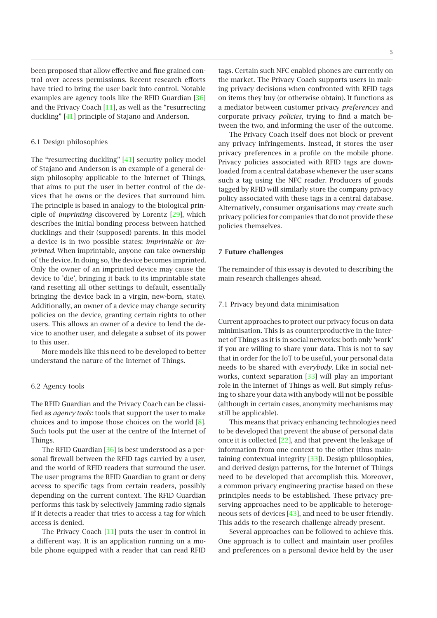been proposed that allow effective and fine grained control over access permissions. Recent research efforts have tried to bring the user back into control. Notable examples are agency tools like the RFID Guardian [\[36\]](#page-7-27) and the Privacy Coach [\[11\]](#page-7-28), as well as the "resurrecting duckling" [\[41\]](#page-7-29) principle of Stajano and Anderson.

## 6.1 Design philosophies

The "resurrecting duckling" [\[41\]](#page-7-29) security policy model of Stajano and Anderson is an example of a general design philosophy applicable to the Internet of Things, that aims to put the user in better control of the devices that he owns or the devices that surround him. The principle is based in analogy to the biological principle of *imprinting* discovered by Lorentz [\[29\]](#page-7-30), which describes the initial bonding process between hatched ducklings and their (supposed) parents. In this model a device is in two possible states: *imprintable* or *imprinted*. When imprintable, anyone can take ownership of the device. In doing so, the device becomes imprinted. Only the owner of an imprinted device may cause the device to 'die', bringing it back to its imprintable state (and resetting all other settings to default, essentially bringing the device back in a virgin, new-born, state). Additionally, an owner of a device may change security policies on the device, granting certain rights to other users. This allows an owner of a device to lend the device to another user, and delegate a subset of its power to this user.

More models like this need to be developed to better understand the nature of the Internet of Things.

#### 6.2 Agency tools

The RFID Guardian and the Privacy Coach can be classified as *agency tools*: tools that support the user to make choices and to impose those choices on the world [\[8\]](#page-7-31). Such tools put the user at the centre of the Internet of Things.

The RFID Guardian  $[36]$  is best understood as a personal firewall between the RFID tags carried by a user, and the world of RFID readers that surround the user. The user programs the RFID Guardian to grant or deny access to specific tags from certain readers, possibly depending on the current context. The RFID Guardian performs this task by selectively jamming radio signals if it detects a reader that tries to access a tag for which access is denied.

The Privacy Coach  $[11]$  puts the user in control in a different way. It is an application running on a mobile phone equipped with a reader that can read RFID 5

tags. Certain such NFC enabled phones are currently on the market. The Privacy Coach supports users in making privacy decisions when confronted with RFID tags on items they buy (or otherwise obtain). It functions as a mediator between customer privacy *preferences* and corporate privacy *policies*, trying to find a match between the two, and informing the user of the outcome.

The Privacy Coach itself does not block or prevent any privacy infringements. Instead, it stores the user privacy preferences in a profile on the mobile phone. Privacy policies associated with RFID tags are downloaded from a central database whenever the user scans such a tag using the NFC reader. Producers of goods tagged by RFID will similarly store the company privacy policy associated with these tags in a central database. Alternatively, consumer organisations may create such privacy policies for companies that do not provide these policies themselves.

#### <span id="page-4-0"></span>7 Future challenges

The remainder of this essay is devoted to describing the main research challenges ahead.

### 7.1 Privacy beyond data minimisation

Current approaches to protect our privacy focus on data minimisation. This is as counterproductive in the Internet of Things as it is in social networks: both only 'work' if you are willing to share your data. This is not to say that in order for the IoT to be useful, your personal data needs to be shared with *everybody*. Like in social networks, context separation [\[33\]](#page-7-32) will play an important role in the Internet of Things as well. But simply refusing to share your data with anybody will not be possible (although in certain cases, anonymity mechanisms may still be applicable).

This means that privacy enhancing technologies need to be developed that prevent the abuse of personal data once it is collected [\[22\]](#page-7-33), and that prevent the leakage of information from one context to the other (thus maintaining contextual integrity [\[33\]](#page-7-32)). Design philosophies, and derived design patterns, for the Internet of Things need to be developed that accomplish this. Moreover, a common privacy engineering practise based on these principles needs to be established. These privacy preserving approaches need to be applicable to heterogeneous sets of devices [\[43\]](#page-8-1), and need to be user friendly. This adds to the research challenge already present.

Several approaches can be followed to achieve this. One approach is to collect and maintain user profiles and preferences on a personal device held by the user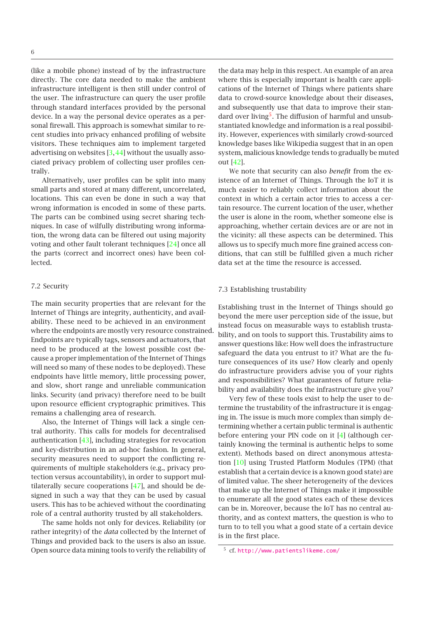(like a mobile phone) instead of by the infrastructure directly. The core data needed to make the ambient infrastructure intelligent is then still under control of the user. The infrastructure can query the user profile through standard interfaces provided by the personal device. In a way the personal device operates as a personal firewall. This approach is somewhat similar to recent studies into privacy enhanced profiling of website visitors. These techniques aim to implement targeted advertising on websites [\[3,](#page-7-34)[44\]](#page-8-4) without the usually associated privacy problem of collecting user profiles centrally.

Alternatively, user profiles can be split into many small parts and stored at many different, uncorrelated, locations. This can even be done in such a way that wrong information is encoded in some of these parts. The parts can be combined using secret sharing techniques. In case of wilfully distributing wrong information, the wrong data can be filtered out using majority voting and other fault tolerant techniques [\[24\]](#page-7-35) once all the parts (correct and incorrect ones) have been collected.

## 7.2 Security

The main security properties that are relevant for the Internet of Things are integrity, authenticity, and availability. These need to be achieved in an environment where the endpoints are mostly very resource constrained. Endpoints are typically tags, sensors and actuators, that need to be produced at the lowest possible cost (because a proper implementation of the Internet of Things will need so many of these nodes to be deployed). These endpoints have little memory, little processing power, and slow, short range and unreliable communication links. Security (and privacy) therefore need to be built upon resource efficient cryptographic primitives. This remains a challenging area of research.

Also, the Internet of Things will lack a single central authority. This calls for models for decentralised authentication [\[43\]](#page-8-1), including strategies for revocation and key-distribution in an ad-hoc fashion. In general, security measures need to support the conflicting requirements of multiple stakeholders (e.g., privacy protection versus accountability), in order to support multilaterally secure cooperations [\[47\]](#page-8-5), and should be designed in such a way that they can be used by casual users. This has to be achieved without the coordinating role of a central authority trusted by all stakeholders.

The same holds not only for devices. Reliability (or rather integrity) of the *data* collected by the Internet of Things and provided back to the users is also an issue. Open source data mining tools to verify the reliability of the data may help in this respect. An example of an area where this is especially important is health care applications of the Internet of Things where patients share data to crowd-source knowledge about their diseases, and subsequently use that data to improve their stan-dard over living<sup>[5](#page-5-0)</sup>. The diffusion of harmful and unsubstantiated knowledge and information is a real possibility. However, experiences with similarly crowd-sourced knowledge bases like Wikipedia suggest that in an open system, malicious knowledge tends to gradually be muted out [\[42\]](#page-7-36).

We note that security can also *benefit* from the existence of an Internet of Things. Through the IoT it is much easier to reliably collect information about the context in which a certain actor tries to access a certain resource. The current location of the user, whether the user is alone in the room, whether someone else is approaching, whether certain devices are or are not in the vicinity: all these aspects can be determined. This allows us to specify much more fine grained access conditions, that can still be fulfilled given a much richer data set at the time the resource is accessed.

#### 7.3 Establishing trustability

Establishing trust in the Internet of Things should go beyond the mere user perception side of the issue, but instead focus on measurable ways to establish trustability, and on tools to support this. Trustability aims to answer questions like: How well does the infrastructure safeguard the data you entrust to it? What are the future consequences of its use? How clearly and openly do infrastructure providers advise you of your rights and responsibilities? What guarantees of future reliability and availability does the infrastructure give you?

Very few of these tools exist to help the user to determine the trustability of the infrastructure it is engaging in. The issue is much more complex than simply determining whether a certain public terminal is authentic before entering your PIN code on it [\[4\]](#page-7-37) (although certainly knowing the terminal is authentic helps to some extent). Methods based on direct anonymous attestation [\[10\]](#page-7-38) using Trusted Platform Modules (TPM) (that establish that a certain device is a known good state) are of limited value. The sheer heterogeneity of the devices that make up the Internet of Things make it impossible to enumerate all the good states each of these devices can be in. Moreover, because the IoT has no central authority, and as context matters, the question is who to turn to to tell you what a good state of a certain device is in the first place.

<span id="page-5-0"></span><sup>5</sup> cf. <http://www.patientslikeme.com/>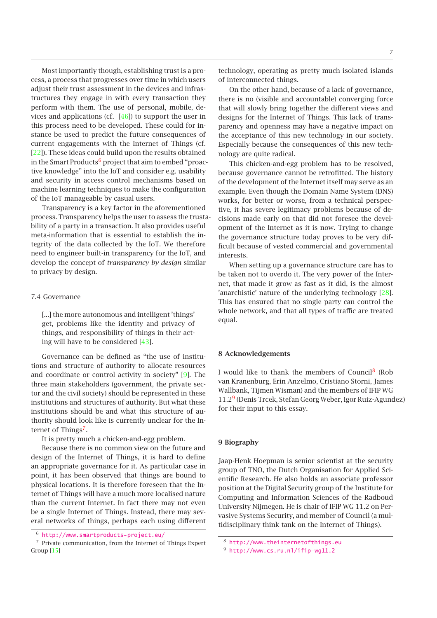Most importantly though, establishing trust is a process, a process that progresses over time in which users adjust their trust assessment in the devices and infrastructures they engage in with every transaction they perform with them. The use of personal, mobile, devices and applications (cf. [\[46\]](#page-8-6)) to support the user in this process need to be developed. These could for instance be used to predict the future consequences of current engagements with the Internet of Things (cf. [\[22\]](#page-7-33)). These ideas could build upon the results obtained in the Smart Products<sup>[6](#page-6-0)</sup> project that aim to embed "proactive knowledge" into the IoT and consider e.g. usability and security in access control mechanisms based on machine learning techniques to make the configuration of the IoT manageable by casual users.

Transparency is a key factor in the aforementioned process. Transparency helps the user to assess the trustability of a party in a transaction. It also provides useful meta-information that is essential to establish the integrity of the data collected by the IoT. We therefore need to engineer built-in transparency for the IoT, and develop the concept of *transparency by design* similar to privacy by design.

#### 7.4 Governance

[...] the more autonomous and intelligent 'things' get, problems like the identity and privacy of things, and responsibility of things in their acting will have to be considered [\[43\]](#page-8-1).

Governance can be defined as "the use of institutions and structure of authority to allocate resources and coordinate or control activity in society" [\[9\]](#page-7-39). The three main stakeholders (government, the private sector and the civil society) should be represented in these institutions and structures of authority. But what these institutions should be and what this structure of authority should look like is currently unclear for the In-ternet of Things<sup>[7](#page-6-1)</sup>.

It is pretty much a chicken-and-egg problem.

Because there is no common view on the future and design of the Internet of Things, it is hard to define an appropriate governance for it. As particular case in point, it has been observed that things are bound to physical locations. It is therefore foreseen that the Internet of Things will have a much more localised nature than the current Internet. In fact there may not even be a single Internet of Things. Instead, there may several networks of things, perhaps each using different

On the other hand, because of a lack of governance, there is no (visible and accountable) converging force that will slowly bring together the different views and designs for the Internet of Things. This lack of transparency and openness may have a negative impact on the acceptance of this new technology in our society. Especially because the consequences of this new technology are quite radical.

This chicken-and-egg problem has to be resolved, because governance cannot be retrofitted. The history of the development of the Internet itself may serve as an example. Even though the Domain Name System (DNS) works, for better or worse, from a technical perspective, it has severe legitimacy problems because of decisions made early on that did not foresee the development of the Internet as it is now. Trying to change the governance structure today proves to be very difficult because of vested commercial and governmental interests.

When setting up a governance structure care has to be taken not to overdo it. The very power of the Internet, that made it grow as fast as it did, is the almost 'anarchistic' nature of the underlying technology [\[28\]](#page-7-41). This has ensured that no single party can control the whole network, and that all types of traffic are treated equal.

## 8 Acknowledgements

I would like to thank the members of Council<sup>[8](#page-6-2)</sup> (Rob van Kranenburg, Erin Anzelmo, Cristiano Storni, James Wallbank, Tijmen Wisman) and the members of IFIP WG 11.2[9](#page-6-3) (Denis Trcek, Stefan Georg Weber, Igor Ruiz-Agundez) for their input to this essay.

## 9 Biography

Jaap-Henk Hoepman is senior scientist at the security group of TNO, the Dutch Organisation for Applied Scientific Research. He also holds an associate professor position at the Digital Security group of the Institute for Computing and Information Sciences of the Radboud University Nijmegen. He is chair of IFIP WG 11.2 on Pervasive Systems Security, and member of Council (a multidisciplinary think tank on the Internet of Things).

<span id="page-6-0"></span><sup>6</sup> <http://www.smartproducts-project.eu/>

<span id="page-6-1"></span><sup>7</sup> Private communication, from the Internet of Things Expert Group [\[15\]](#page-7-40)

<sup>8</sup> <http://www.theinternetofthings.eu>

<span id="page-6-3"></span><span id="page-6-2"></span><sup>9</sup> <http://www.cs.ru.nl/ifip-wg11.2>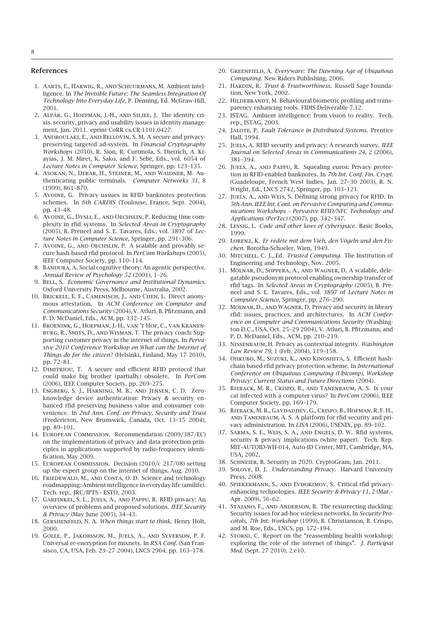#### <span id="page-7-2"></span>References

- 1. Aarts, E., Harwig, R., and Schuurmans, M. Ambient intelligence. In *The Invisible Future: The Seamless Integration Of Technology Into Everyday Life*, P. Denning, Ed. McGraw-Hill, 2001.
- <span id="page-7-11"></span>2. Alpár, G., Hoepman, J.-H., and Siljee, J. The identity crisis. security, privacy and usability issues in identity management, Jan. 2011. eprint CoRR cs.CR:1101.0427.
- <span id="page-7-34"></span>3. Androulaki, E., and Bellovin, S. M. A secure and privacypreserving targeted ad-system. In *Financial Cryptography Workshops* (2010), R. Sion, R. Curtmola, S. Dietrich, A. Kiayias, J. M. Miret, K. Sako, and F. Sebé, Eds., vol. 6054 of *Lecture Notes in Computer Science*, Springer, pp. 123–135.
- <span id="page-7-37"></span>4. Asokan, N., Debar, H., Steiner, M., and Waidner, M. Authenticating public terminals. *Computer Networks 31*, 8 (1999), 861–870.
- <span id="page-7-16"></span>5. Avoine, G. Privacy ussues in RFID banknotes protection schemes. In *6th CARDIS* (Toulouse, France, Sept. 2004), pp. 43–48.
- <span id="page-7-23"></span>6. Avoine, G., Dysli, E., and Oechslin, P. Reducing time complexity in rfid systems. In *Selected Areas in Cryptography* (2005), B. Preneel and S. E. Tavares, Eds., vol. 3897 of *Lecture Notes in Computer Science*, Springer, pp. 291–306.
- <span id="page-7-24"></span>7. Avoine, G., and Oechslin, P. A scalable and provably secure hash-based rfid protocol. In *PerCom Workshops* (2005), IEEE Computer Society, pp. 110–114.
- <span id="page-7-31"></span>8. BANDURA, A. Social cognitive theory: An agentic perspective. *Annual Review of Psychology 52* (2001), 1–26.
- <span id="page-7-39"></span>9. Bell, S. *Economic Governance and Institutional Dynamics*. Oxford University Press, Melbourne, Australia, 2002.
- <span id="page-7-38"></span>10. Brickell, E. F., Camenisch, J., and Chen, L. Direct anonymous attestation. In *ACM Conference on Computer and Communications Security* (2004), V. Atluri, B. Pfitzmann, and P. D. McDaniel, Eds., ACM, pp. 132–145.
- <span id="page-7-28"></span>11. Broenink, G., Hoepman, J.-H., van 't Hof, C., van Kranenburg, R., Smits, D., and Wisman, T. The privacy coach: Supporting customer privacy in the internet of things. In *Pervasive 2010 Conference Workshop on What can the Internet of Things do for the citizen?* (Helsinki, Finland, May 17 2010), pp. 72–81.
- <span id="page-7-21"></span>12. Dimitriou, T. A secure and efficient RFID protocol that could make big brother (partially) obsolete. In *PerCom* (2006), IEEE Computer Society, pp. 269–275.
- <span id="page-7-18"></span>13. Engberg, S. J., Harning, M. B., and Jensen, C. D. Zeroknowledge device authentication: Privacy & security enhanced rfid preserving business value and consumer convenience. In *2nd Ann. Conf. on Privacy, Security and Trust* (Fredericton, New Brunswick, Canada, Oct. 13–15 2004), pp. 89–101.
- <span id="page-7-13"></span>14. European Commission. Recommendation (2009/387/EC) on the implementation of privacy and data protection principles in applications supported by radio-frequency identification, May 2009.
- <span id="page-7-40"></span>15. European Commission. Decision (2010/c 217/08) setting up the expert group on the internet of things, Aug. 2010.
- <span id="page-7-1"></span>16. Friedewald, M., and Costa, O. D. Science and technology roadmapping: Ambient intelligence in everyday life (amilife). Tech. rep., JRC/IPTS - ESTO, 2003.
- <span id="page-7-7"></span>17. Garfinkel, S. L., Juels, A., and Pappu, R. RFID privacy: An overview of problems and proposed solutions. *IEEE Security & Privacy* (May June 2005), 34–43.
- <span id="page-7-5"></span>18. Gershenfeld, N. A. *When things start to think*. Henry Holt, 2000.
- <span id="page-7-17"></span>19. Golle, P., Jakobsson, M., Juels, A., and Syverson, P. F. Universal re-encryption for mixnets. In *RSA Conf.* (San Fransisco, CA, USA, Feb. 23–27 2004), LNCS 2964, pp. 163–178.
- <span id="page-7-10"></span><span id="page-7-4"></span>20. Greenfield, A. *Everyware: The Dawning Age of Ubiquitous Computing*. New Riders Publishing, 2006.
- <span id="page-7-33"></span>21. Hardin, R. *Trust & Trustworthiness*. Russell Sage Foundation, New York, 2002.
- 22. HILDEBRANDT, M. Behavioural biometric profiling and transparency enhancing tools. FIDIS Deliverable 7.12.
- <span id="page-7-3"></span>23. ISTAG. Ambient intelligence: from vision to reality. Tech. rep., ISTAG, 2003.
- <span id="page-7-35"></span>24. Jalote, P. *Fault Tolerance in Dsitributed Systems*. Prentice Hall, 1994.
- <span id="page-7-8"></span>25. Juels, A. RFID security and privacy: A research survey. *IEEE Journal on Selected Areas in Communications 24*, 2 (2006), 381–394.
- <span id="page-7-15"></span>26. Juels, A., and Pappu, R. Squealing euros: Privacy protection in RFID-enabled banknotes. In *7th Int. Conf. Fin. Crypt.* (Guadeloupe, French West Indies, Jan. 27–30 2003), R. N. Wright, Ed., LNCS 2742, Springer, pp. 103–121.
- <span id="page-7-25"></span>27. Juels, A., and Weis, S. Defining strong privacy for RFID. In *5th Ann. IEEE Int. Cont. on Pervasive Computing and Communications Workshops – Pervasive RFID/NFC Technology and Applications (PerTec)* (2007), pp. 342–347.
- <span id="page-7-41"></span><span id="page-7-30"></span>28. Lessig, L. *Code and other laws of cyberspace*. Basic Books, 1999.
- 29. Lorenz, K. *Er redete mit dem Vieh, den Vögeln und den Fischen*. Borotha-Schoeler, Wien, 1949.
- <span id="page-7-12"></span>30. Mitchell, C. J., Ed. *Trusted Computing*. The Institution of Engineering and Technology, Nov. 2005.
- <span id="page-7-22"></span>31. Molnar, D., Soppera, A., and Wagner, D. A scalable, delegatable pseudonym protocol enabling ownership transfer of rfid tags. In *Selected Areas in Cryptography* (2005), B. Preneel and S. E. Tavares, Eds., vol. 3897 of *Lecture Notes in Computer Science*, Springer, pp. 276–290.
- <span id="page-7-20"></span>32. Molnar, D., and Wagner, D. Privacy and security in library rfid: issues, practices, and architectures. In *ACM Conference on Computer and Communications Security* (Washington D.C., USA, Oct. 25–29 2004), V. Atluri, B. Pfitzmann, and P. D. McDaniel, Eds., ACM, pp. 210–219.
- <span id="page-7-32"></span>33. Nissenbaum, H. Privacy as contextual integrity. *Washington Law Review 79*, 1 (Feb. 2004), 119–158.
- <span id="page-7-19"></span>34. Ohkubo, M., Suzuki, K., and Kinoshita, S. Efficient hashchain based rfid privacy protection scheme. In *International Conference on Ubiquitous Computing (Ubicomp), Workshop Privacy: Current Status and Future Directions* (2004).
- <span id="page-7-9"></span>35. Rieback, M. R., Crispo, B., and Tanenbaum, A. S. Is your cat infected with a computer virus? In *PerCom* (2006), IEEE Computer Society, pp. 169–179.
- <span id="page-7-27"></span>36. Rieback, M. R., Gaydadjiev, G., Crispo, B., Hofman, R. F. H., and Tanenbaum, A. S. A platform for rfid security and privacy administration. In *LISA* (2006), USENIX, pp. 89–102.
- <span id="page-7-14"></span>37. Sarma, S. E., Weis, S. A., and Engels, D. W. Rfid systems, security & privacy implications (white paper). Tech. Rep. MIT-AUTOID-WH-014, Auto-ID Center, MIT, Cambridge, MA, USA, 2002.
- <span id="page-7-6"></span><span id="page-7-0"></span>38. Schneier, B. Security in 2020. CryptoGram, Jan. 2011.
- 39. Solove, D. J. *Understanding Privacy*. Harvard University Press, 2008.
- <span id="page-7-26"></span>40. Spiekermann, S., and Evdokimov, S. Critical rfid privacyenhancing technologies. *IEEE Security & Privacy 11*, 2 (Mar.– Apr. 2009), 56–62.
- <span id="page-7-29"></span>41. Stajano, F., and Anderson, R. The resurrecting duckling: Security issues for ad-hoc wireless networks. In *Security Procotols, 7th Int. Workshop* (1999), B. Christianson, B. Crispo, and M. Roe, Eds., LNCS, pp. 172–194.
- <span id="page-7-36"></span>42. STORNI, C. Report on the "reassembling health workshop: exploring the role of the internet of things". *J. Participat Med.* (Sept. 27 2010), 2:e10.